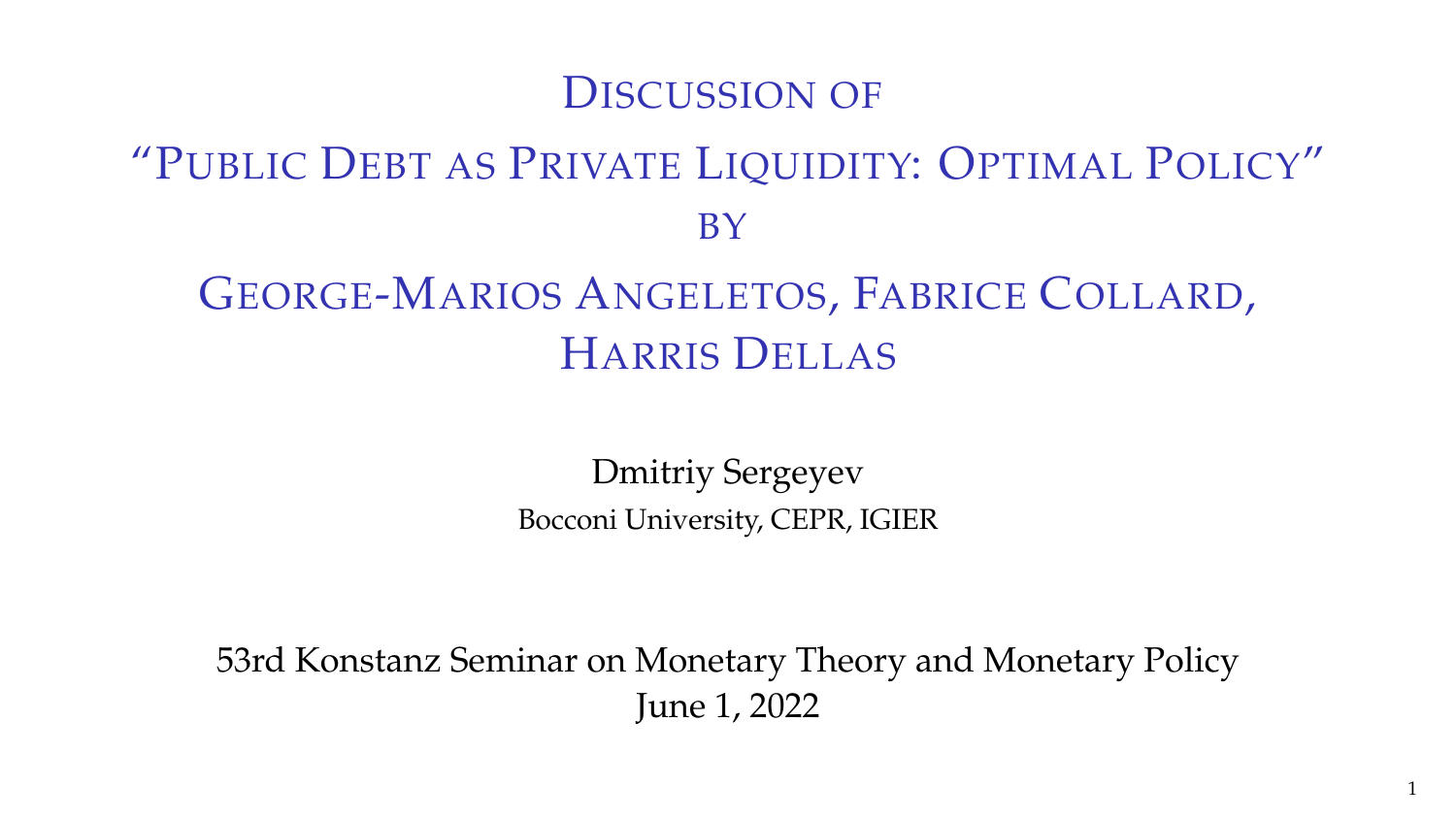#### DISCUSSION OF

# "PUBLIC DEBT AS PRIVATE LIQUIDITY: OPTIMAL POLICY" **BY**

# GEORGE-MARIOS ANGELETOS, FABRICE COLLARD, HARRIS DELLAS

Dmitriy Sergeyev Bocconi University, CEPR, IGIER

53rd Konstanz Seminar on Monetary Theory and Monetary Policy June 1, 2022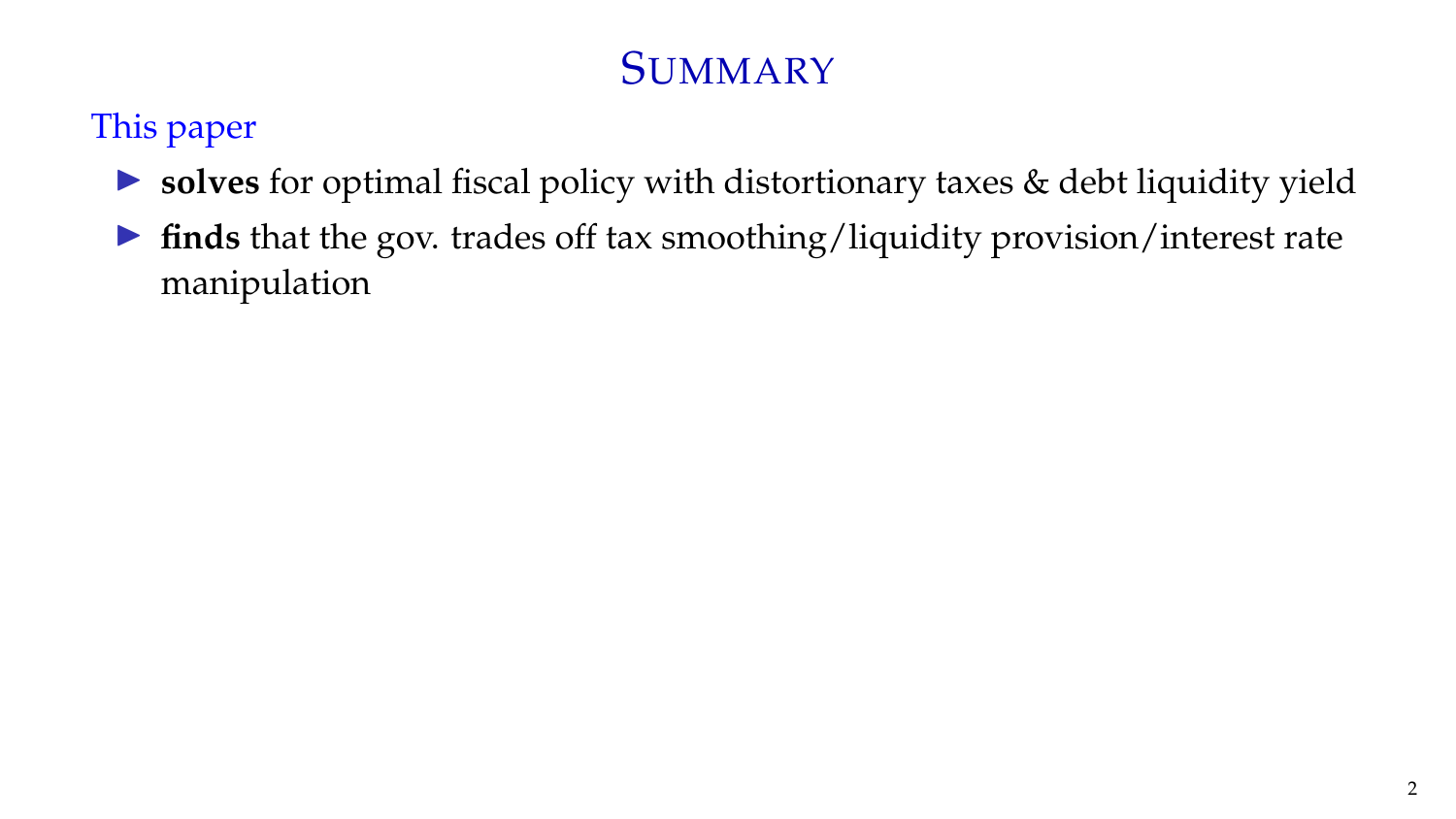#### This paper

- ▶ **solves** for optimal fiscal policy with distortionary taxes & debt liquidity yield
- ▶ **finds** that the gov. trades off tax smoothing/liquidity provision/interest rate manipulation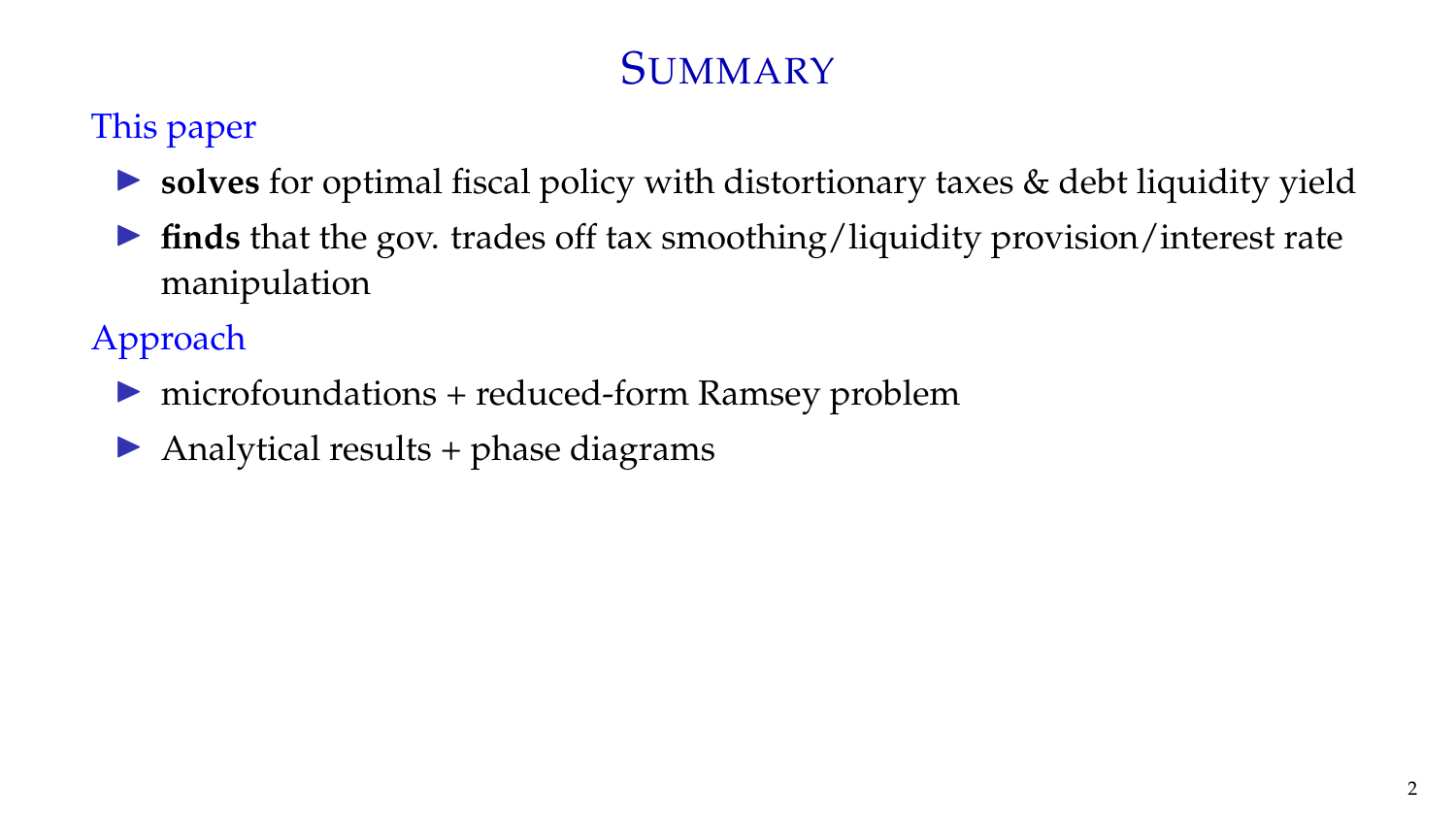#### This paper

- ▶ **solves** for optimal fiscal policy with distortionary taxes & debt liquidity yield
- ▶ **finds** that the gov. trades off tax smoothing/liquidity provision/interest rate manipulation

Approach

- ▶ microfoundations + reduced-form Ramsey problem
- $\blacktriangleright$  Analytical results + phase diagrams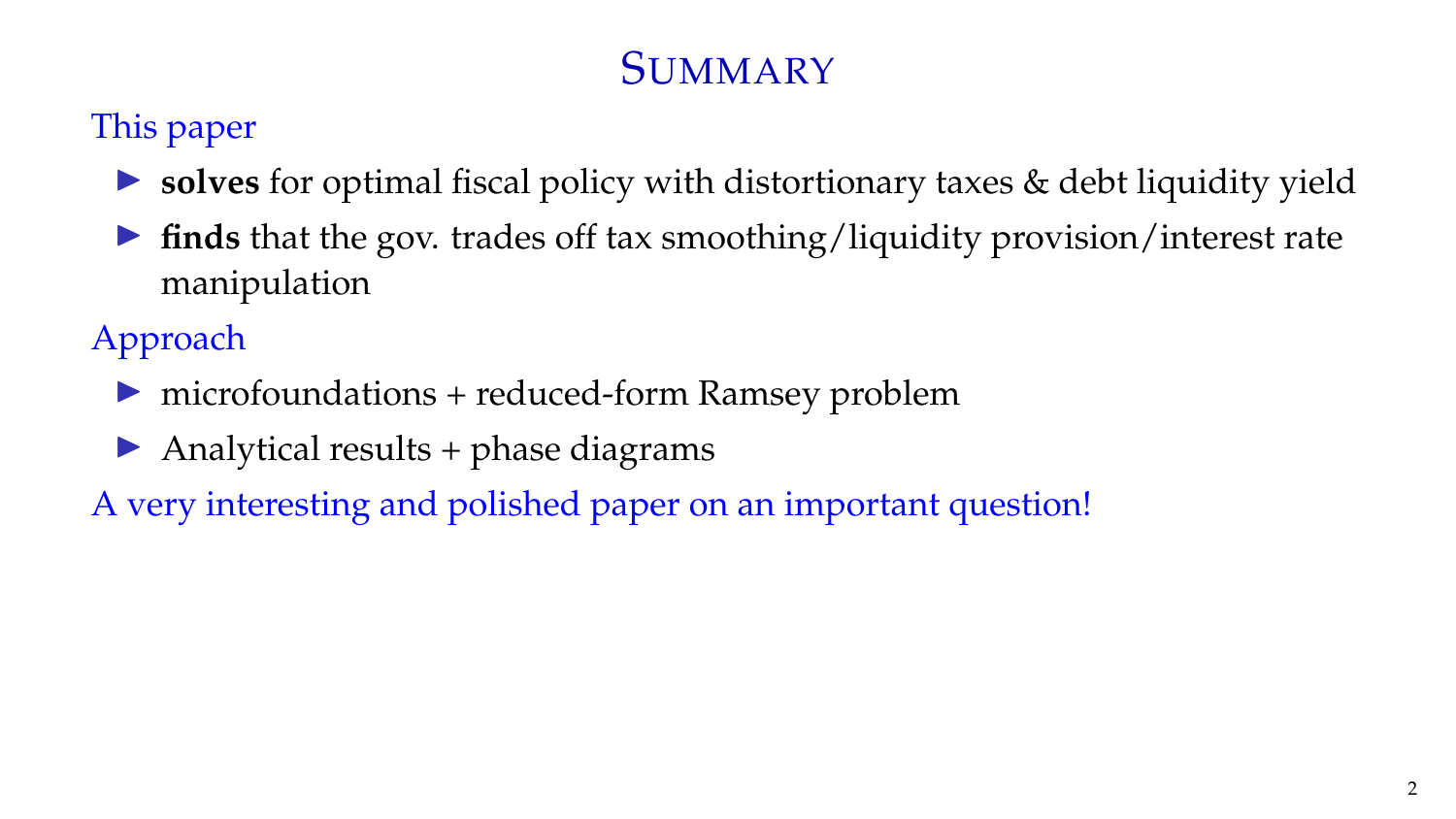#### This paper

- ▶ **solves** for optimal fiscal policy with distortionary taxes & debt liquidity yield
- ▶ **finds** that the gov. trades off tax smoothing/liquidity provision/interest rate manipulation

Approach

- ▶ microfoundations + reduced-form Ramsey problem
- $\blacktriangleright$  Analytical results + phase diagrams
- A very interesting and polished paper on an important question!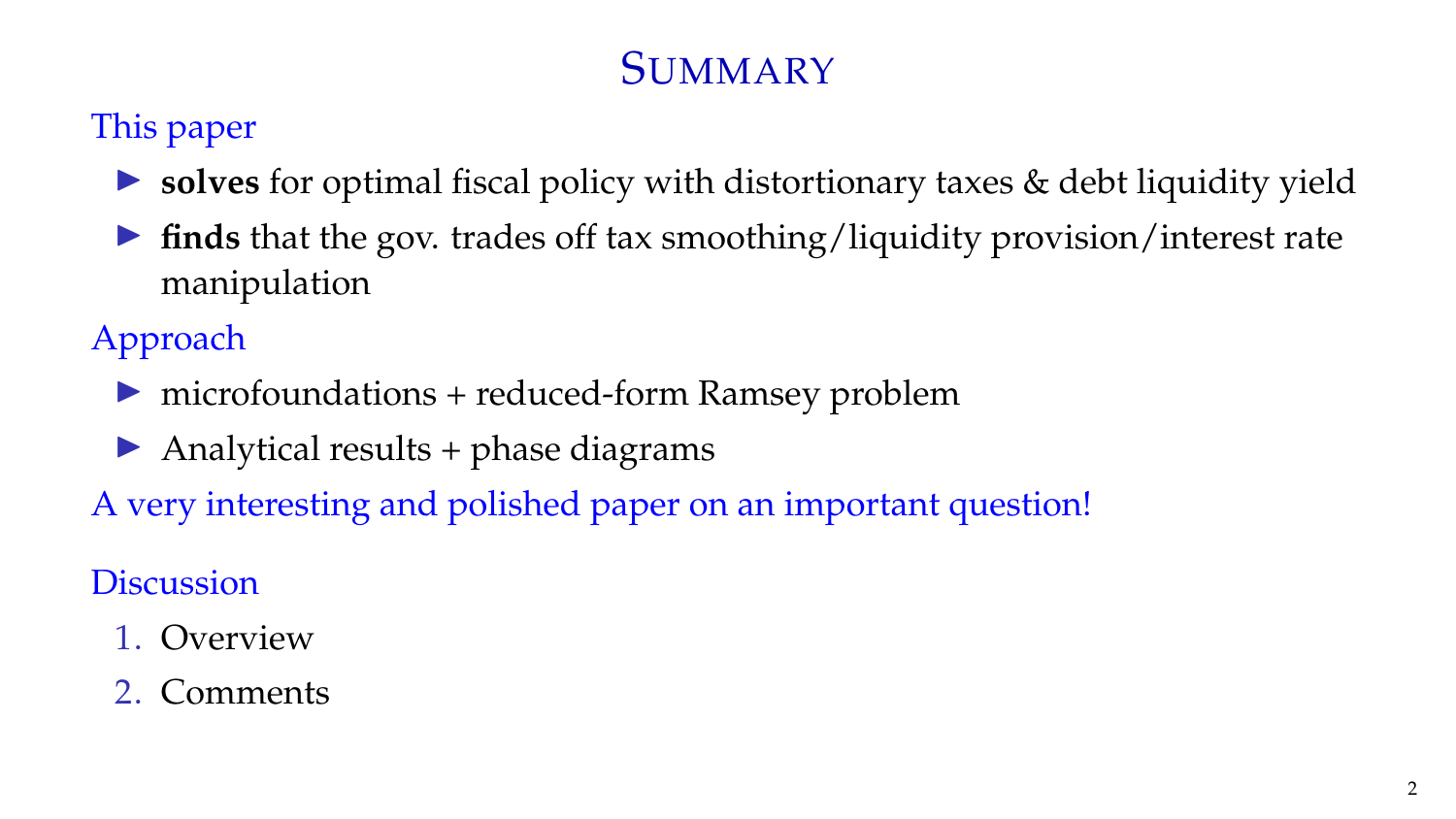#### This paper

- ▶ **solves** for optimal fiscal policy with distortionary taxes & debt liquidity yield
- ▶ **finds** that the gov. trades off tax smoothing/liquidity provision/interest rate manipulation

Approach

- ▶ microfoundations + reduced-form Ramsey problem
- $\triangleright$  Analytical results + phase diagrams
- A very interesting and polished paper on an important question!

**Discussion** 

- 1. Overview
- 2. Comments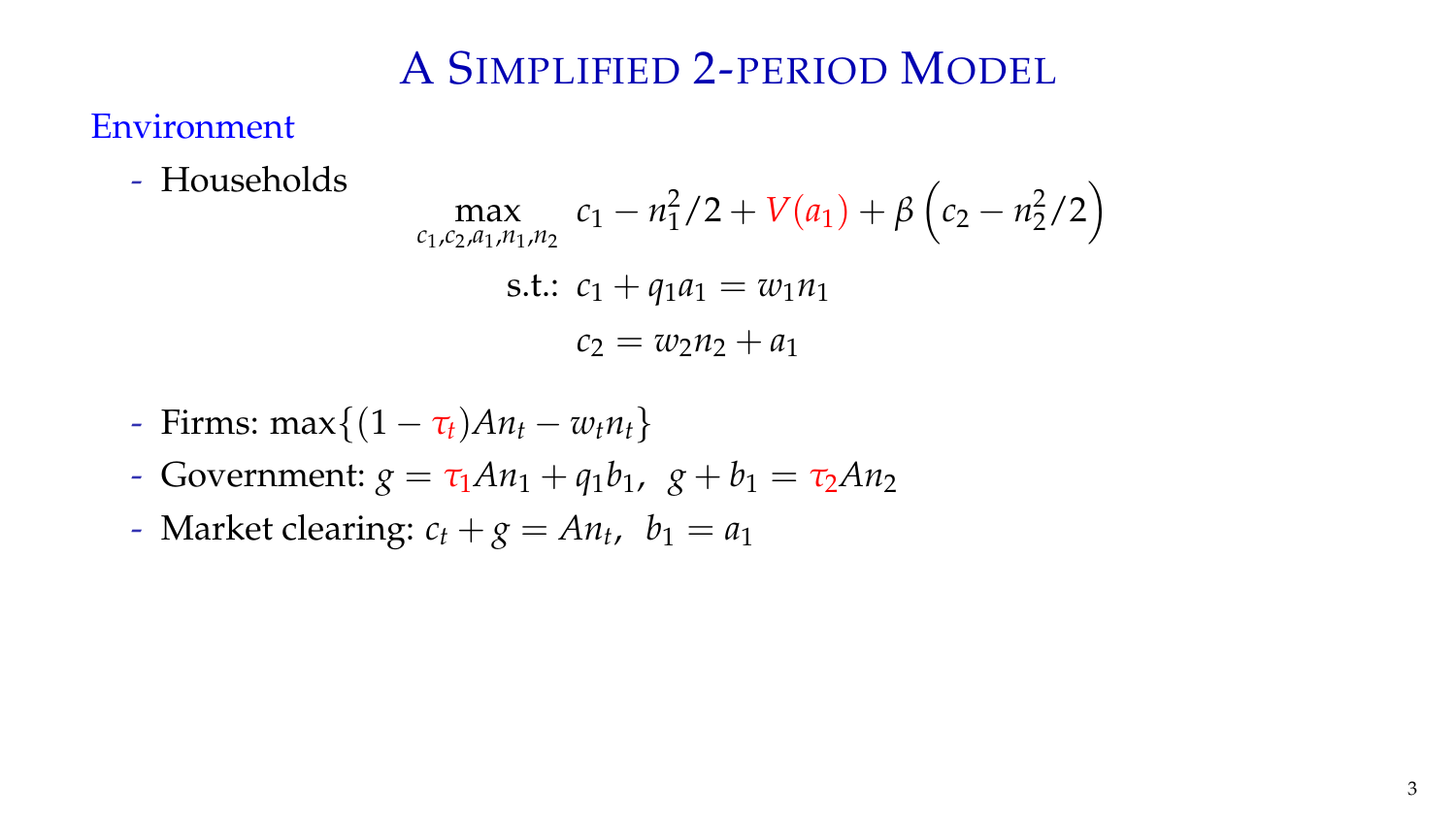#### Environment

- Households

$$
\max_{c_1, c_2, a_1, n_1, n_2} c_1 - n_1^2/2 + V(a_1) + \beta \left(c_2 - n_2^2/2\right)
$$
\ns.t.

\n
$$
c_1 + q_1 a_1 = w_1 n_1
$$
\n
$$
c_2 = w_2 n_2 + a_1
$$

- Firms: 
$$
\max\{(1 - \tau_t)An_t - w_t n_t\}
$$

- Government:  $g = \tau_1 A n_1 + q_1 b_1$ ,  $g + b_1 = \tau_2 A n_2$
- Market clearing:  $c_t + g = An_t$ ,  $b_1 = a_1$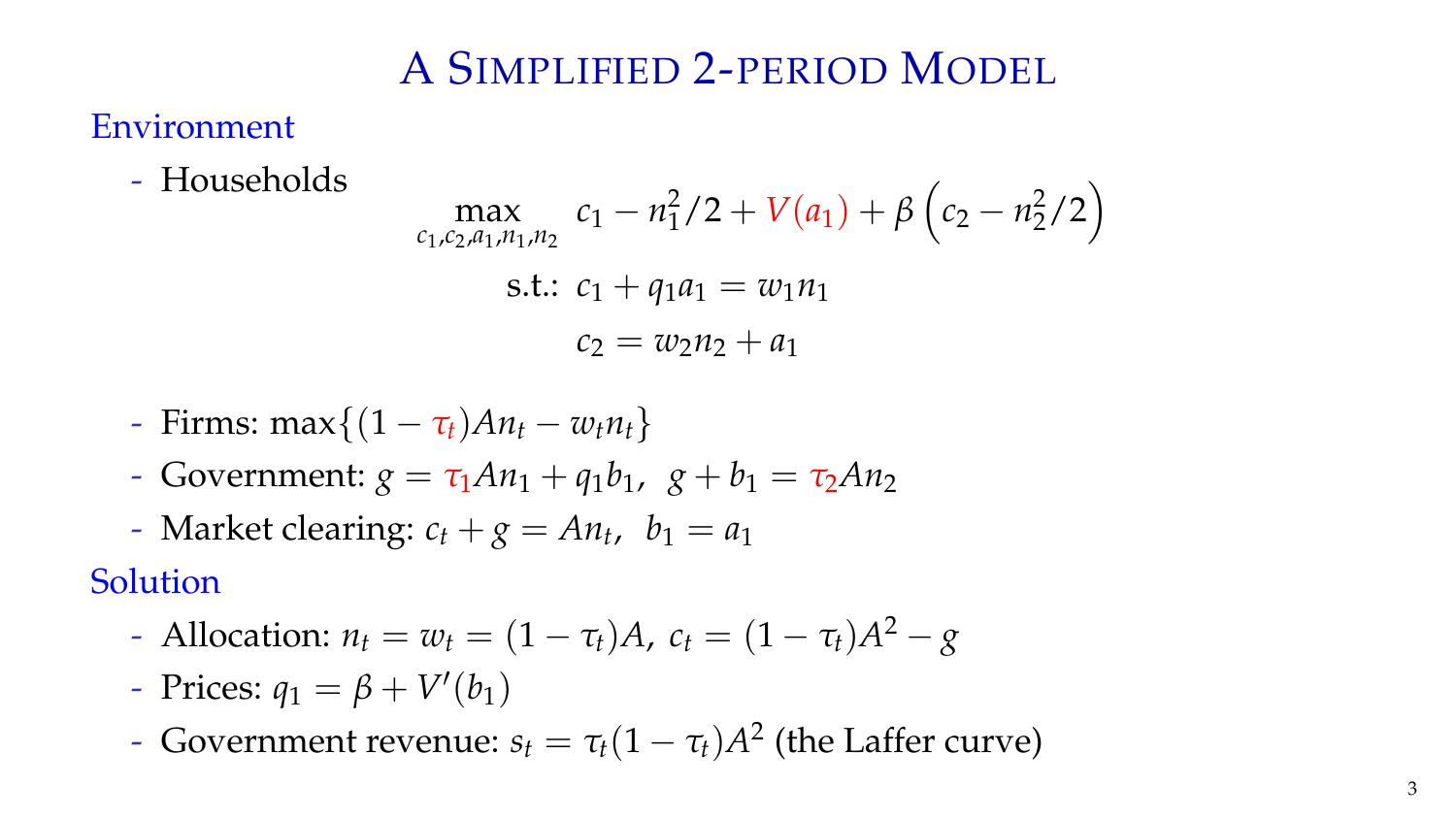#### Environment

- Households

$$
\max_{c_1, c_2, a_1, n_1, n_2} c_1 - n_1^2/2 + V(a_1) + \beta \left(c_2 - n_2^2/2\right)
$$
\ns.t.

\n
$$
c_1 + q_1 a_1 = w_1 n_1
$$
\n
$$
c_2 = w_2 n_2 + a_1
$$

- Firms: 
$$
\max\{(1 - \tau_t)An_t - w_t n_t\}
$$

- Government:  $g = \tau_1 A n_1 + q_1 b_1$ ,  $g + b_1 = \tau_2 A n_2$
- Market clearing:  $c_t + g = An_t$ ,  $b_1 = a_1$

#### Solution

- $-$  Allocation:  $n_t = w_t = (1 \tau_t)A$ ,  $c_t = (1 \tau_t)A^2 g$
- Prices:  $q_1 = \beta + V'(b_1)$
- Government revenue:  $s_t = \tau_t (1 \tau_t) A^2$  (the Laffer curve)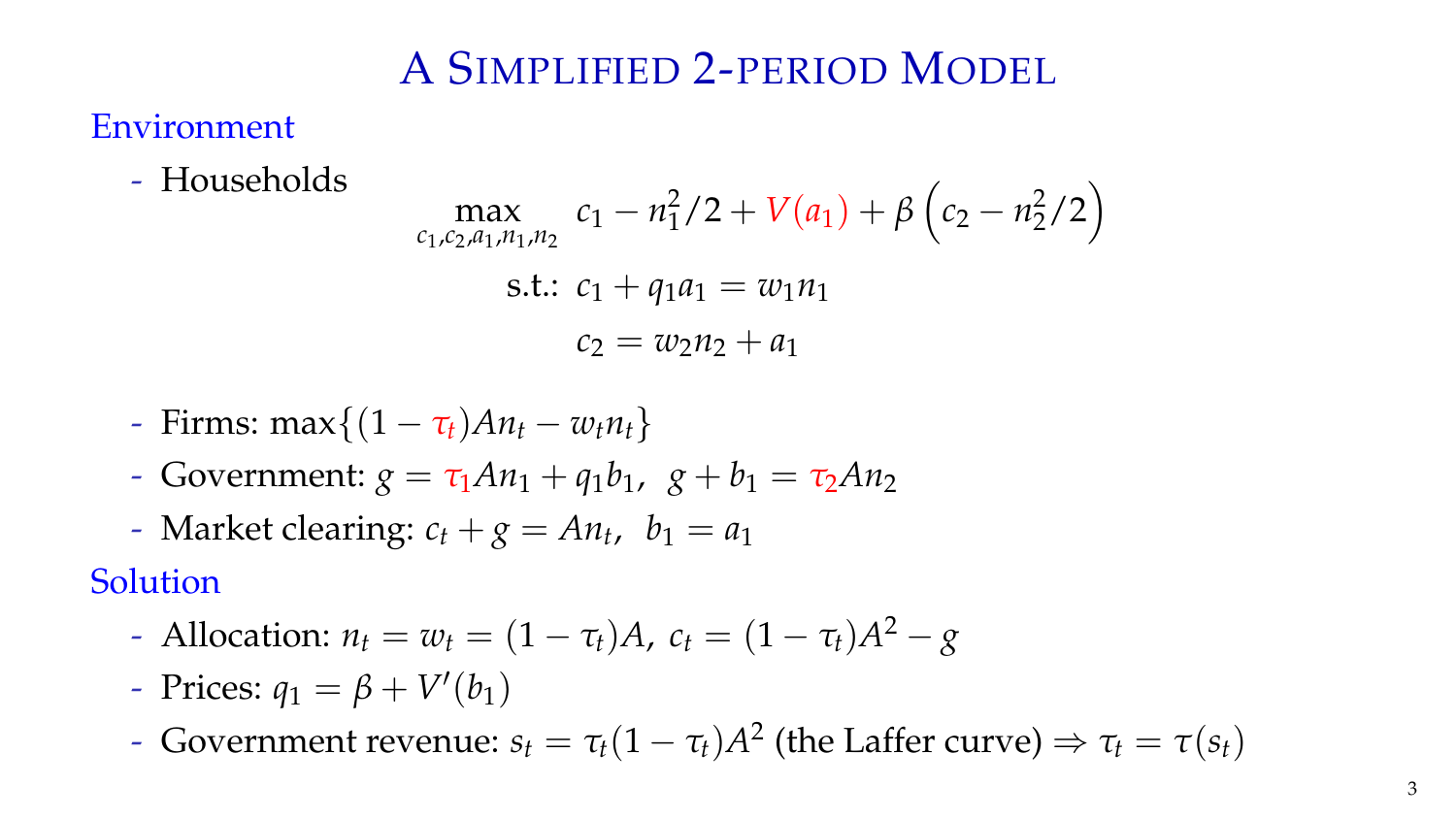#### Environment

- Households

$$
\max_{c_1, c_2, a_1, n_1, n_2} c_1 - n_1^2/2 + V(a_1) + \beta \left(c_2 - n_2^2/2\right)
$$
\ns.t.

\n
$$
c_1 + q_1 a_1 = w_1 n_1
$$
\n
$$
c_2 = w_2 n_2 + a_1
$$

- Firms: 
$$
\max\{(1 - \tau_t)An_t - w_t n_t\}
$$

- Government:  $g = \tau_1 A n_1 + q_1 b_1$ ,  $g + b_1 = \tau_2 A n_2$
- Market clearing:  $c_t + g = An_t$ ,  $b_1 = a_1$

#### Solution

- $-$  Allocation:  $n_t = w_t = (1 \tau_t)A$ ,  $c_t = (1 \tau_t)A^2 g$
- Prices:  $q_1 = \beta + V'(b_1)$
- Government revenue:  $s_t = \tau_t (1 \tau_t) A^2$  (the Laffer curve)  $\Rightarrow \tau_t = \tau(s_t)$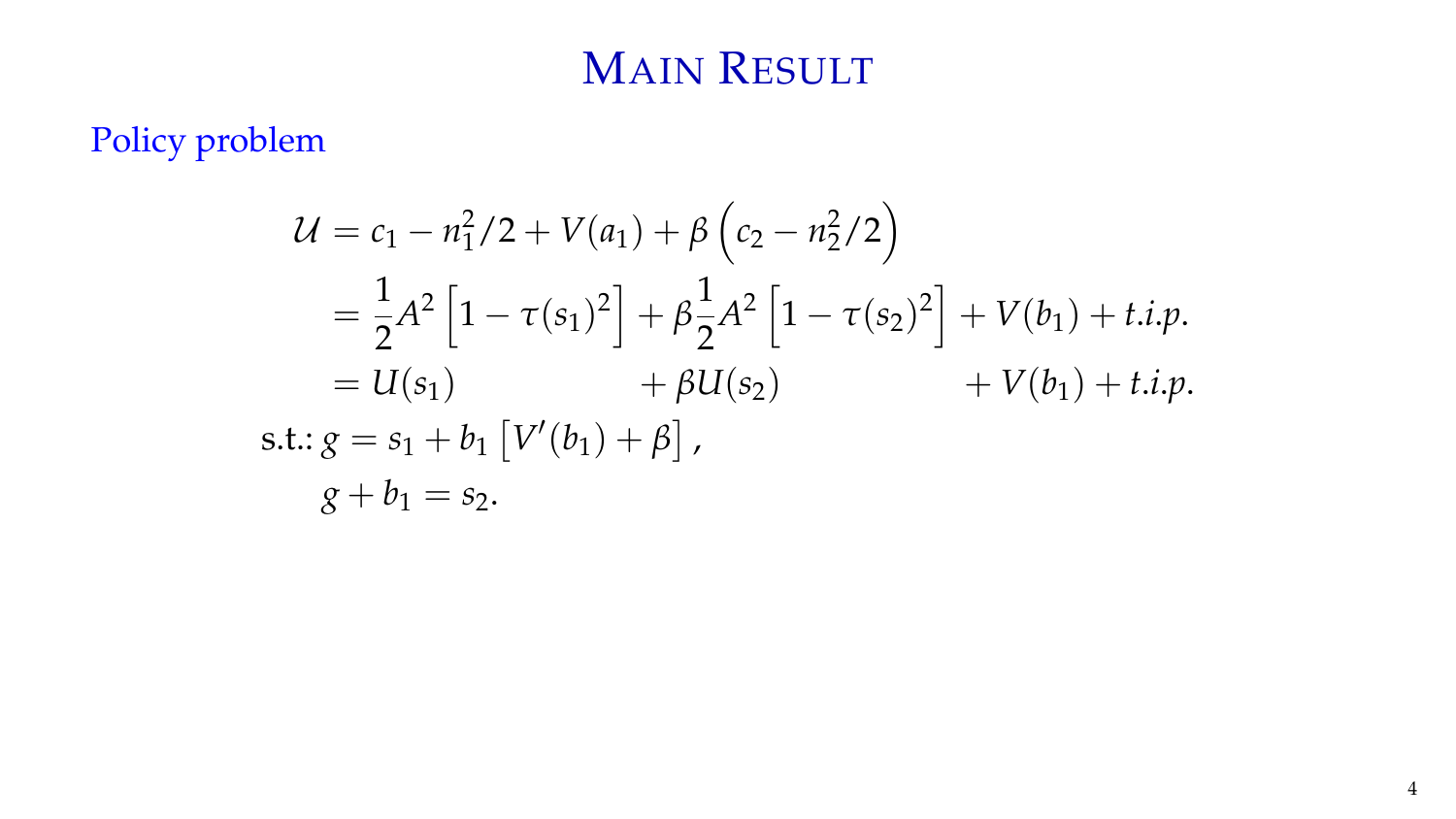# MAIN RESULT

Policy problem

$$
U = c_1 - n_1^2/2 + V(a_1) + \beta \left(c_2 - n_2^2/2\right)
$$
  
=  $\frac{1}{2}A^2 \left[1 - \tau(s_1)^2\right] + \beta \frac{1}{2}A^2 \left[1 - \tau(s_2)^2\right] + V(b_1) + t.i.p.$   
=  $U(s_1)$  +  $\beta U(s_2)$  +  $V(b_1) + t.i.p.$   
s.t.:  $g = s_1 + b_1 \left[V'(b_1) + \beta\right],$   
 $g + b_1 = s_2.$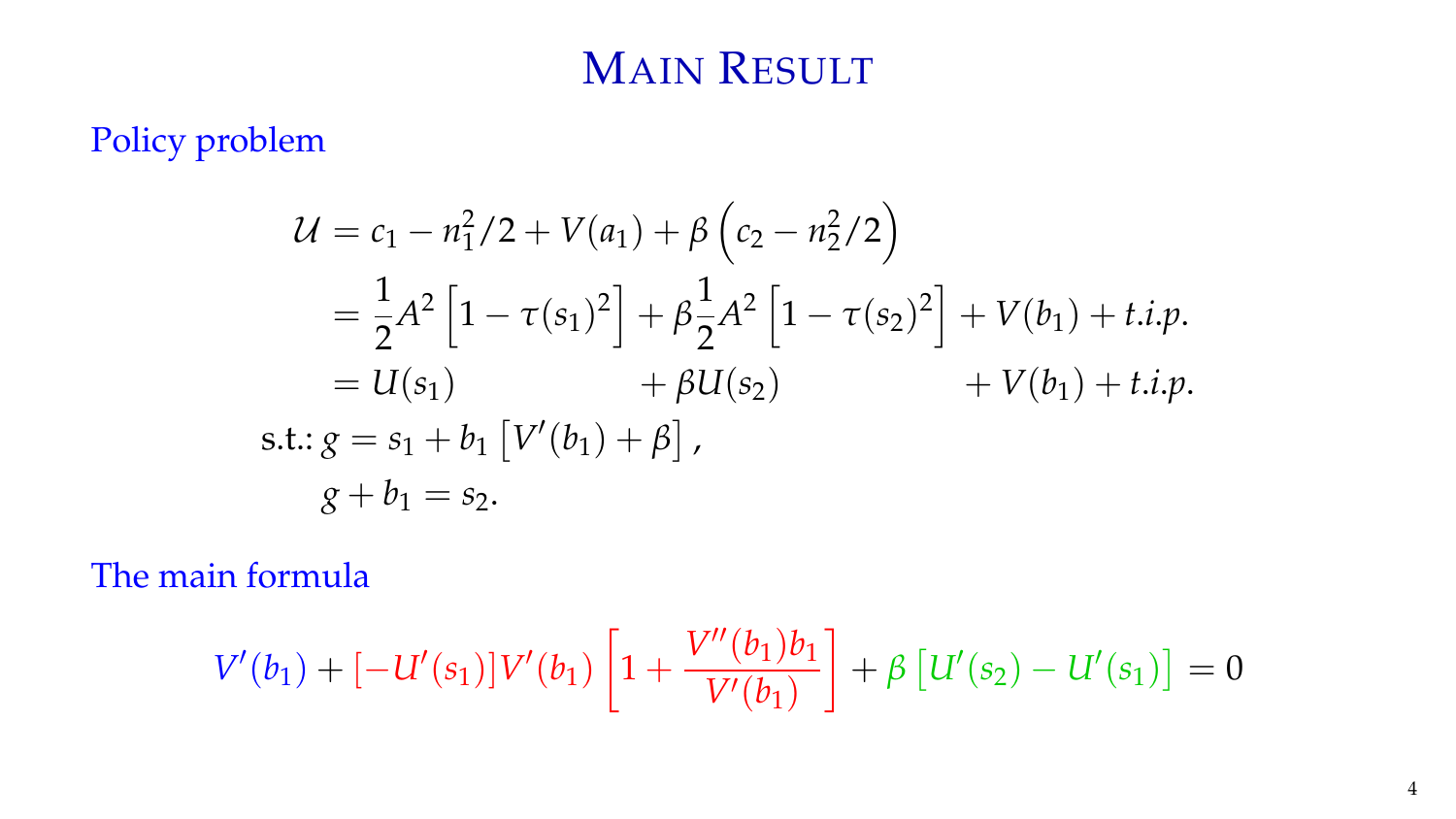# MAIN RESULT

Policy problem

$$
U = c_1 - n_1^2/2 + V(a_1) + \beta \left(c_2 - n_2^2/2\right)
$$
  
=  $\frac{1}{2}A^2 \left[1 - \tau(s_1)^2\right] + \beta \frac{1}{2}A^2 \left[1 - \tau(s_2)^2\right] + V(b_1) + t.i.p.$   
=  $U(s_1)$  +  $\beta U(s_2)$  +  $V(b_1) + t.i.p.$   
s.t.:  $g = s_1 + b_1 \left[V'(b_1) + \beta\right],$   
 $g + b_1 = s_2.$ 

The main formula

$$
V'(b_1) + [-U'(s_1)]V'(b_1)\left[1 + \frac{V''(b_1)b_1}{V'(b_1)}\right] + \beta \left[U'(s_2) - U'(s_1)\right] = 0
$$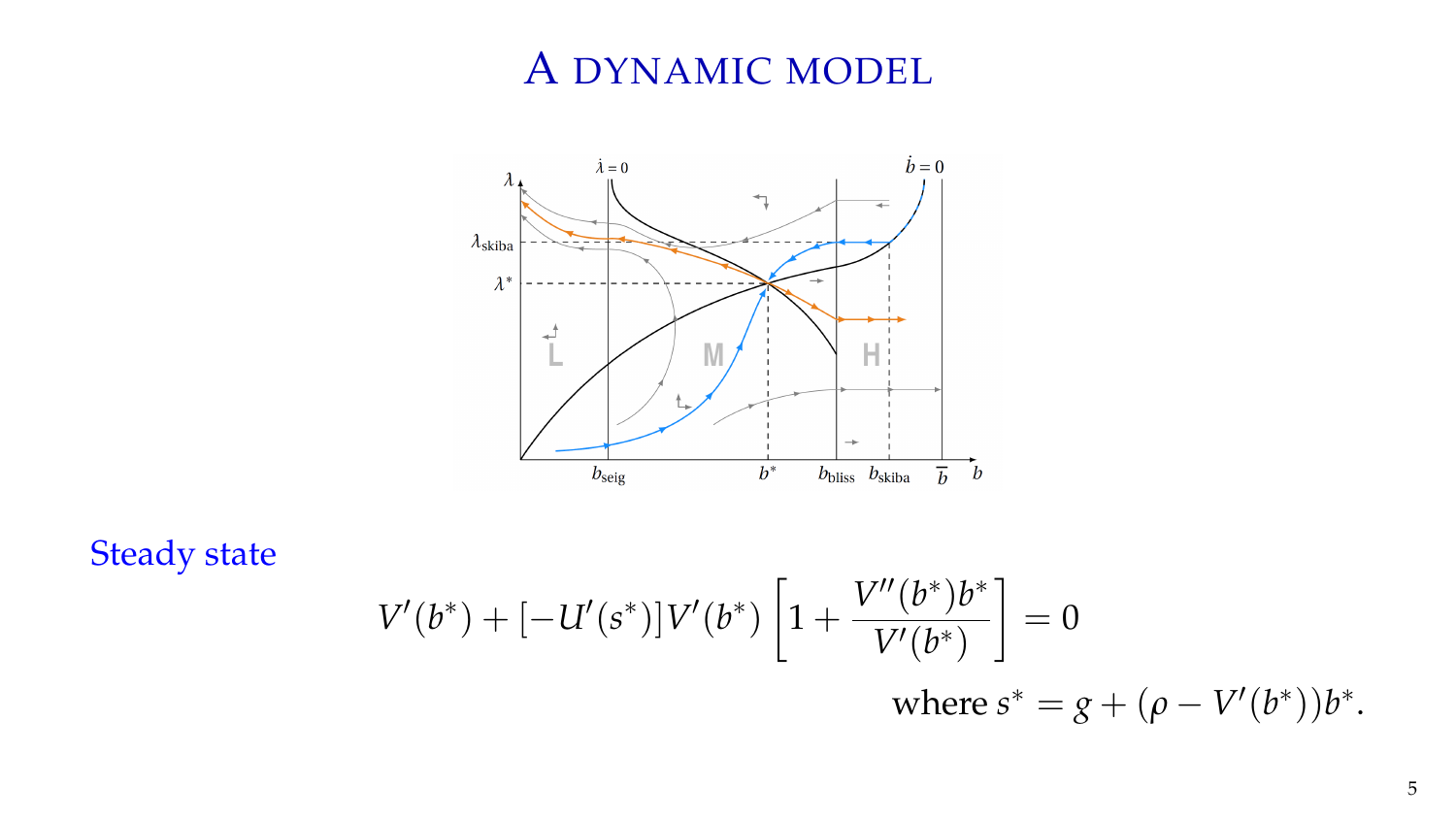# A DYNAMIC MODEL



Steady state

$$
V'(b^*) + [-U'(s^*)]V'(b^*) \left[1 + \frac{V''(b^*)b^*}{V'(b^*)}\right] = 0
$$
  
where  $s^* = g + (\rho - V'(b^*))b^*$ .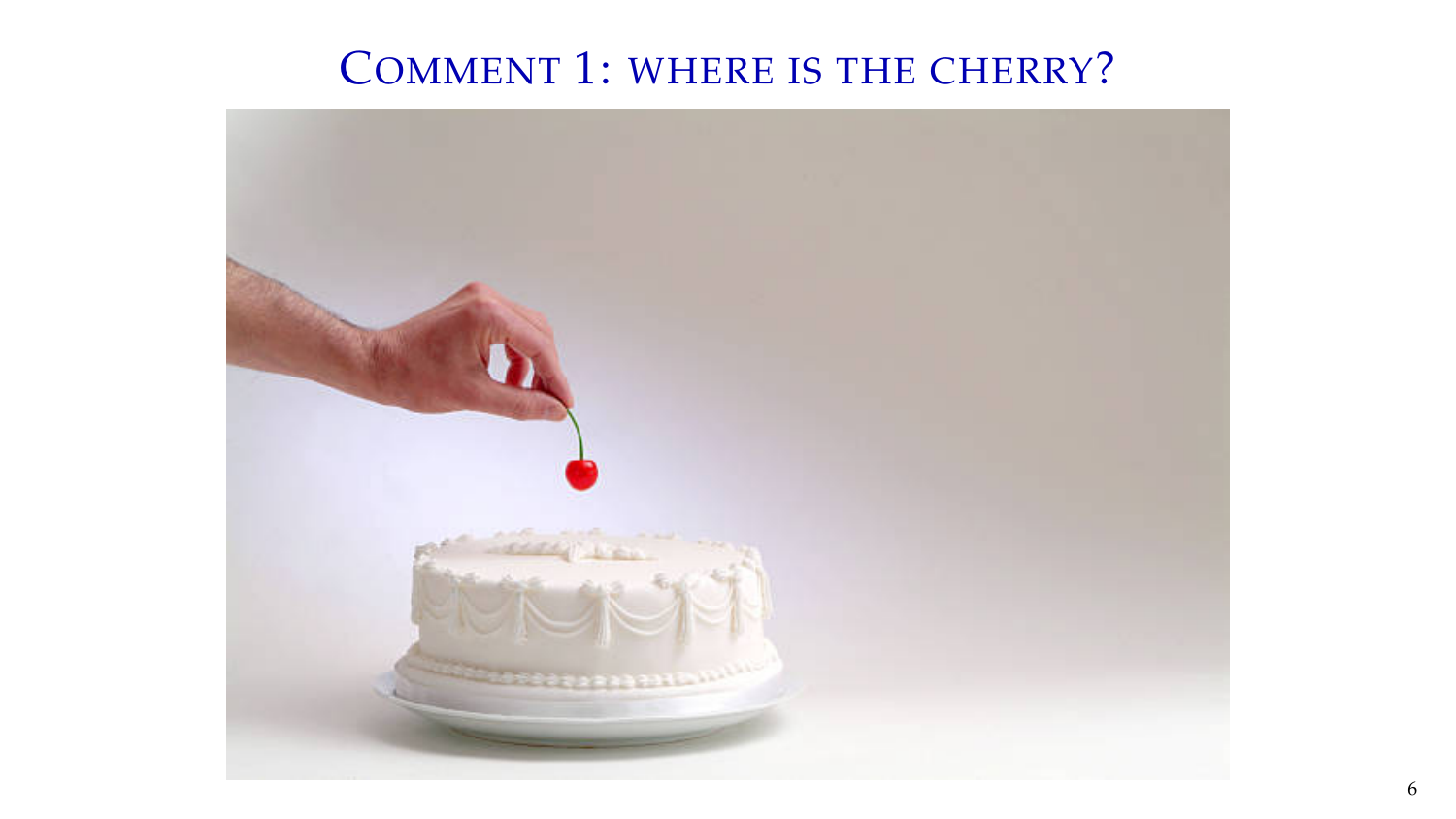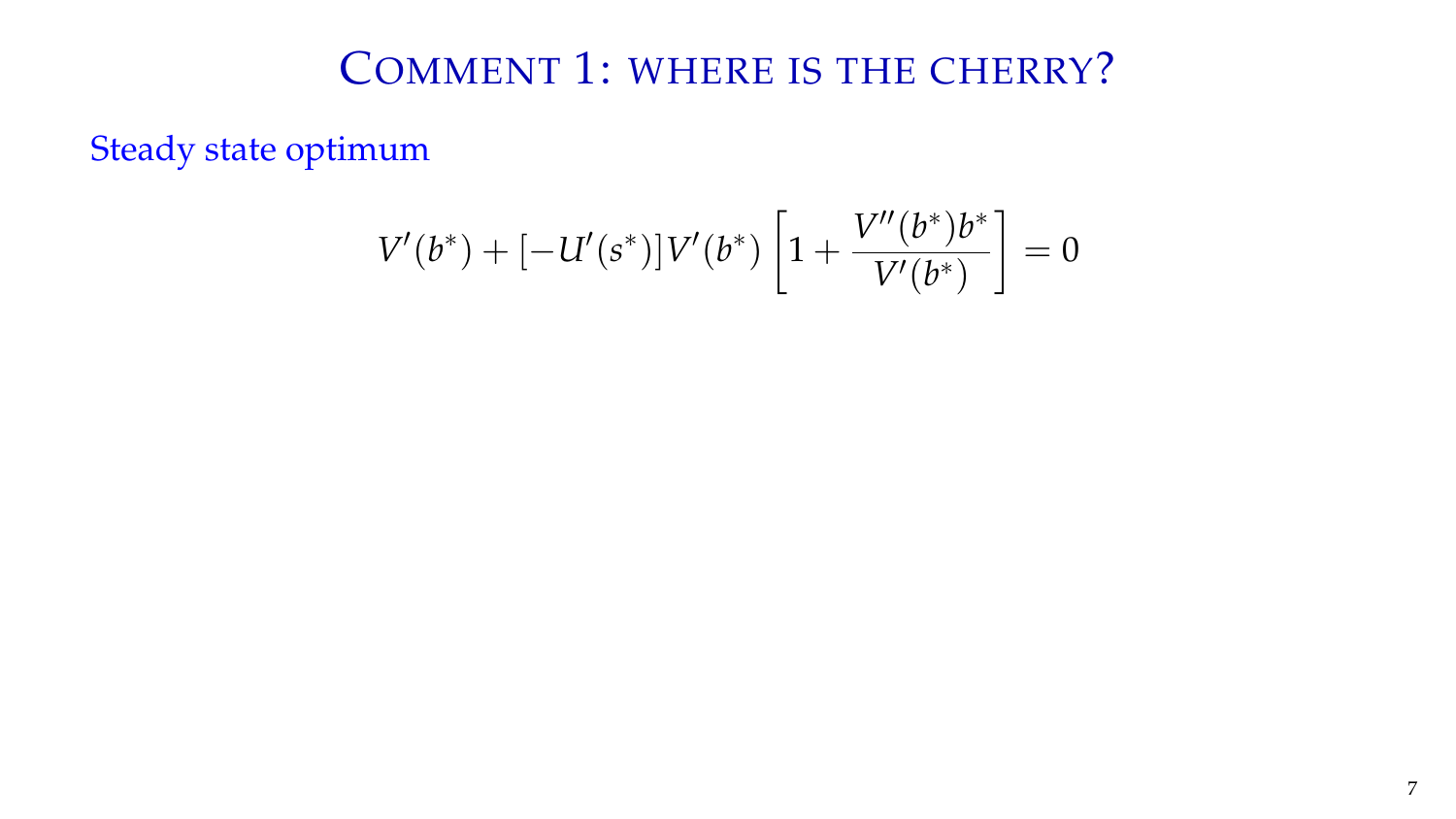Steady state optimum

$$
V'(b^*) + [-U'(s^*)]V'(b^*) \left[1 + \frac{V''(b^*)b^*}{V'(b^*)}\right] = 0
$$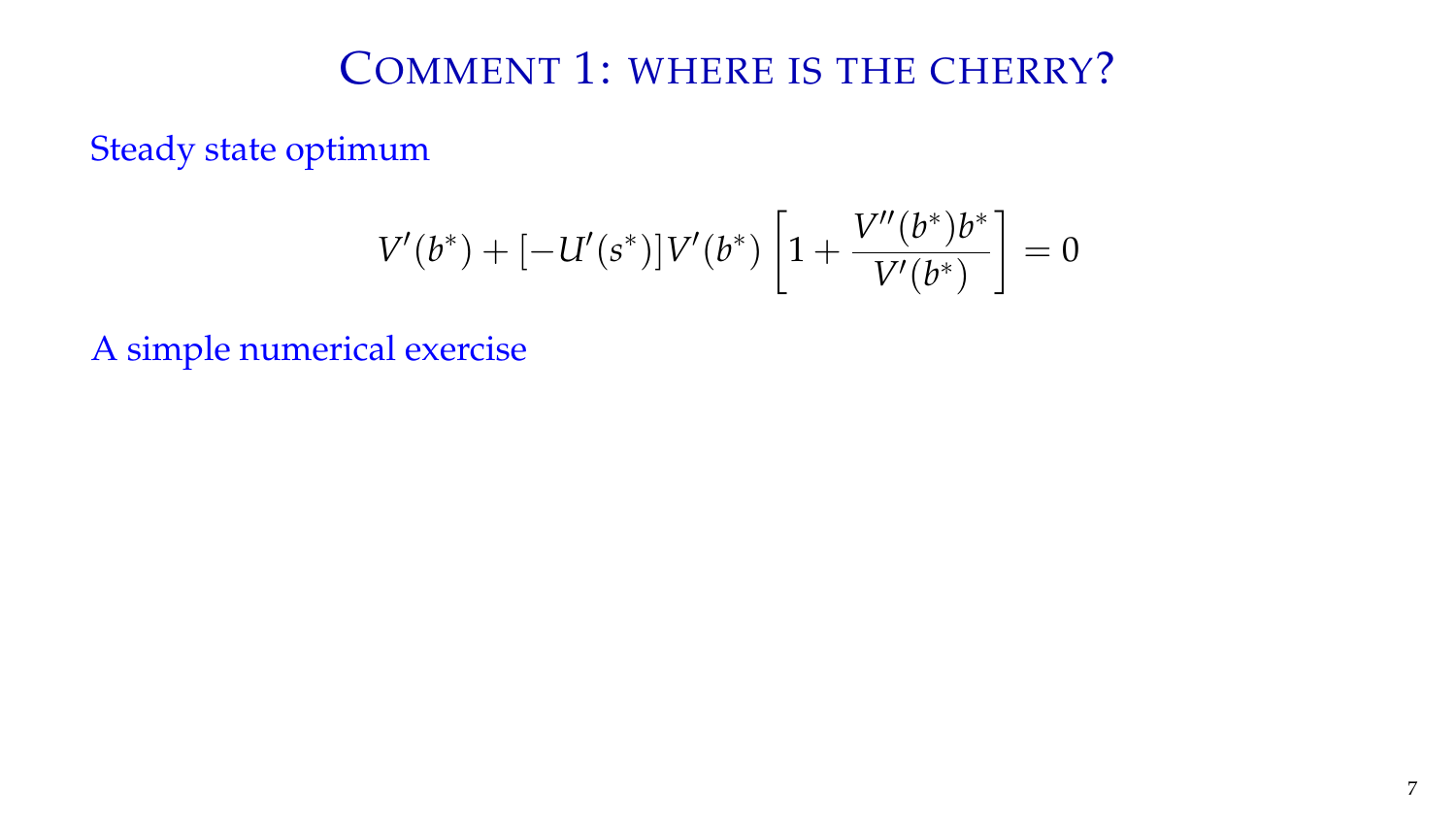Steady state optimum

$$
V'(b^*) + [-U'(s^*)]V'(b^*) \left[1 + \frac{V''(b^*)b^*}{V'(b^*)}\right] = 0
$$

A simple numerical exercise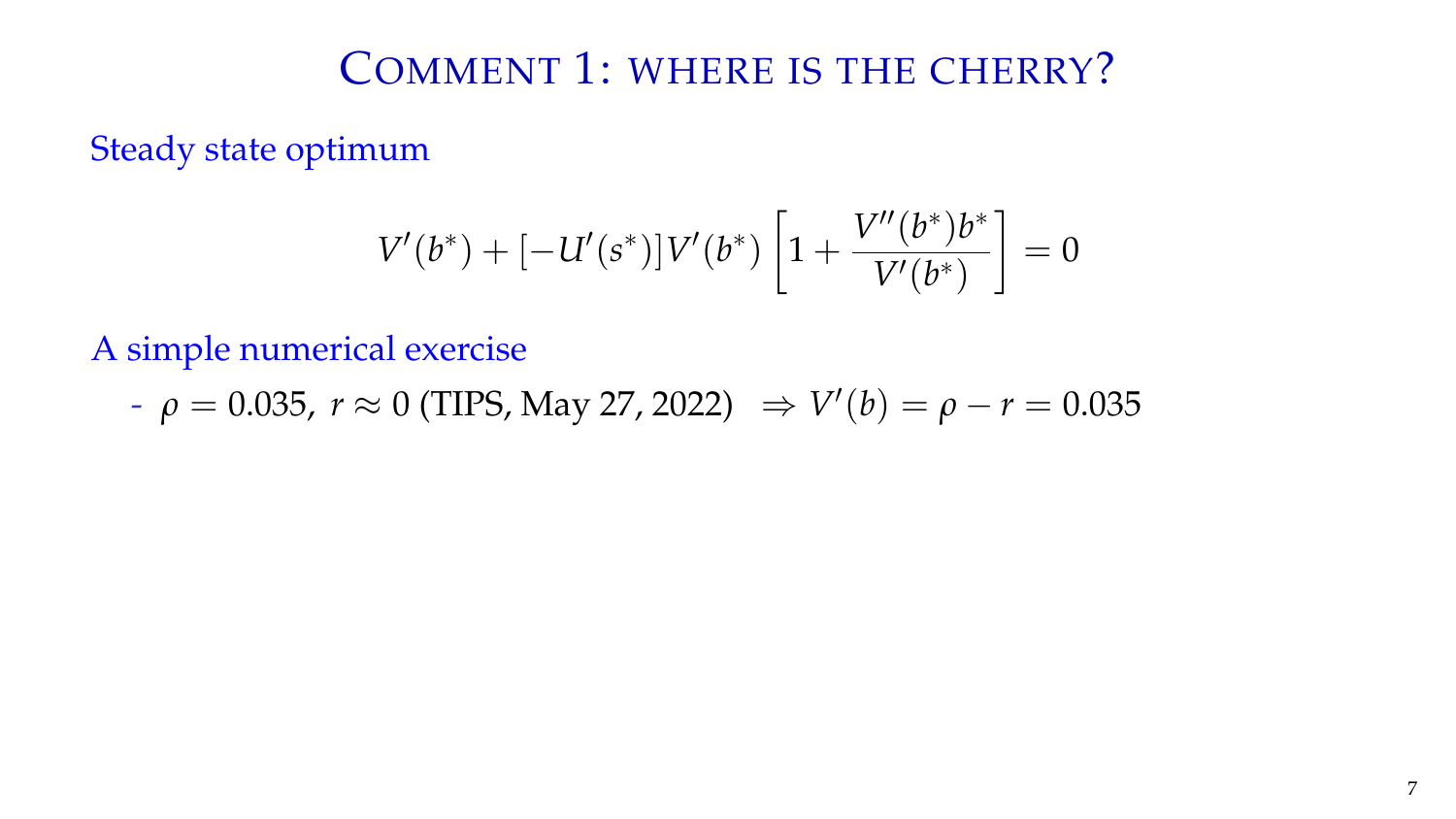Steady state optimum

$$
V'(b^*) + [-U'(s^*)]V'(b^*) \left[1 + \frac{V''(b^*)b^*}{V'(b^*)}\right] = 0
$$

A simple numerical exercise

- 
$$
\rho = 0.035
$$
,  $r \approx 0$  (TIPS, May 27, 2022)  $\Rightarrow V'(b) = \rho - r = 0.035$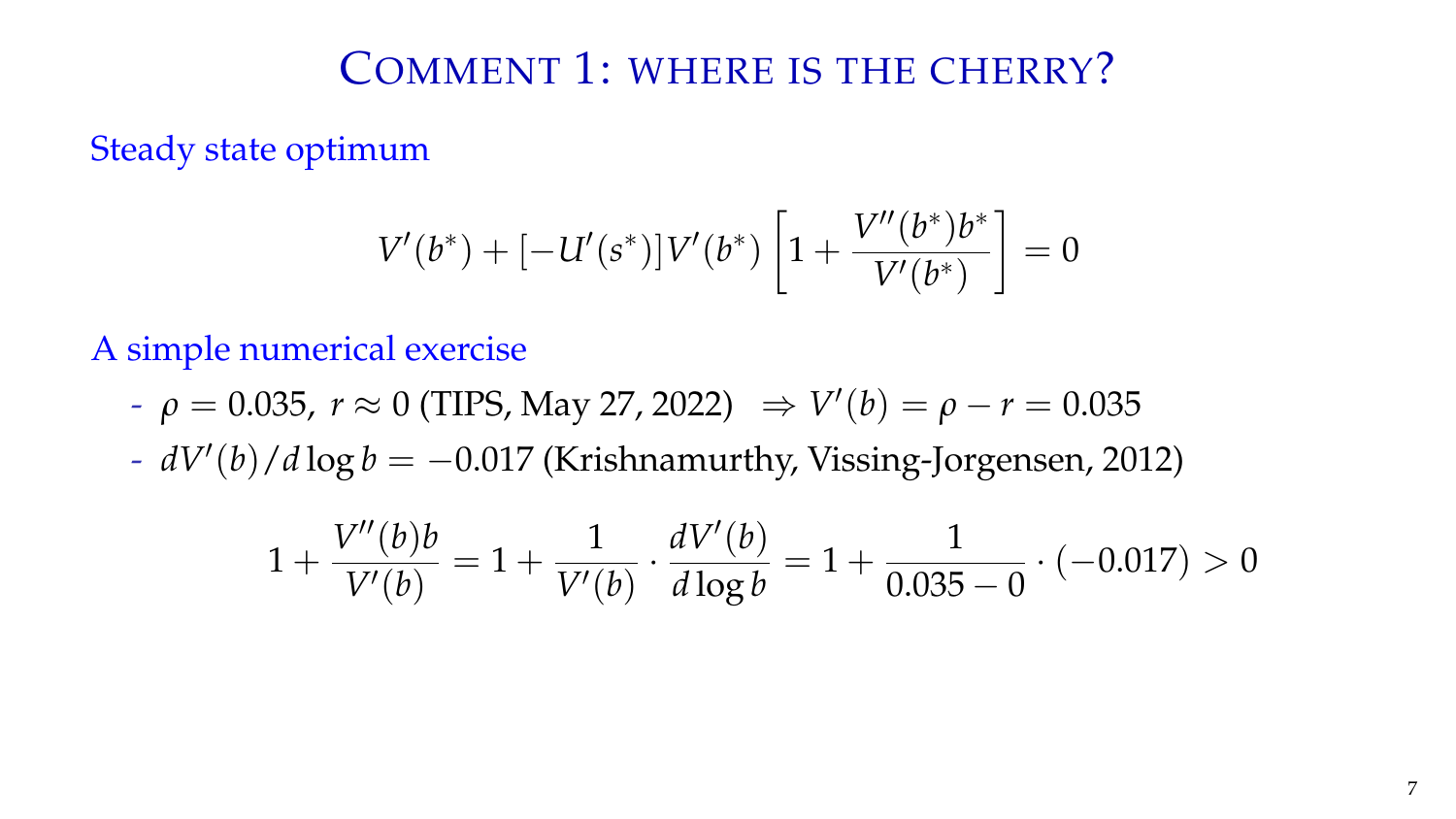Steady state optimum

$$
V'(b^*) + [-U'(s^*)]V'(b^*) \left[1 + \frac{V''(b^*)b^*}{V'(b^*)}\right] = 0
$$

A simple numerical exercise

- $-$  *ρ* = 0.035, *r* ≈ 0 (TIPS, May 27, 2022)  $\Rightarrow$   $V'(b) = ρ r = 0.035$
- *dV*′ (*b*)/*d* log *b* = −0.017 (Krishnamurthy, Vissing-Jorgensen, 2012)

$$
1 + \frac{V''(b)b}{V'(b)} = 1 + \frac{1}{V'(b)} \cdot \frac{dV'(b)}{d \log b} = 1 + \frac{1}{0.035 - 0} \cdot (-0.017) > 0
$$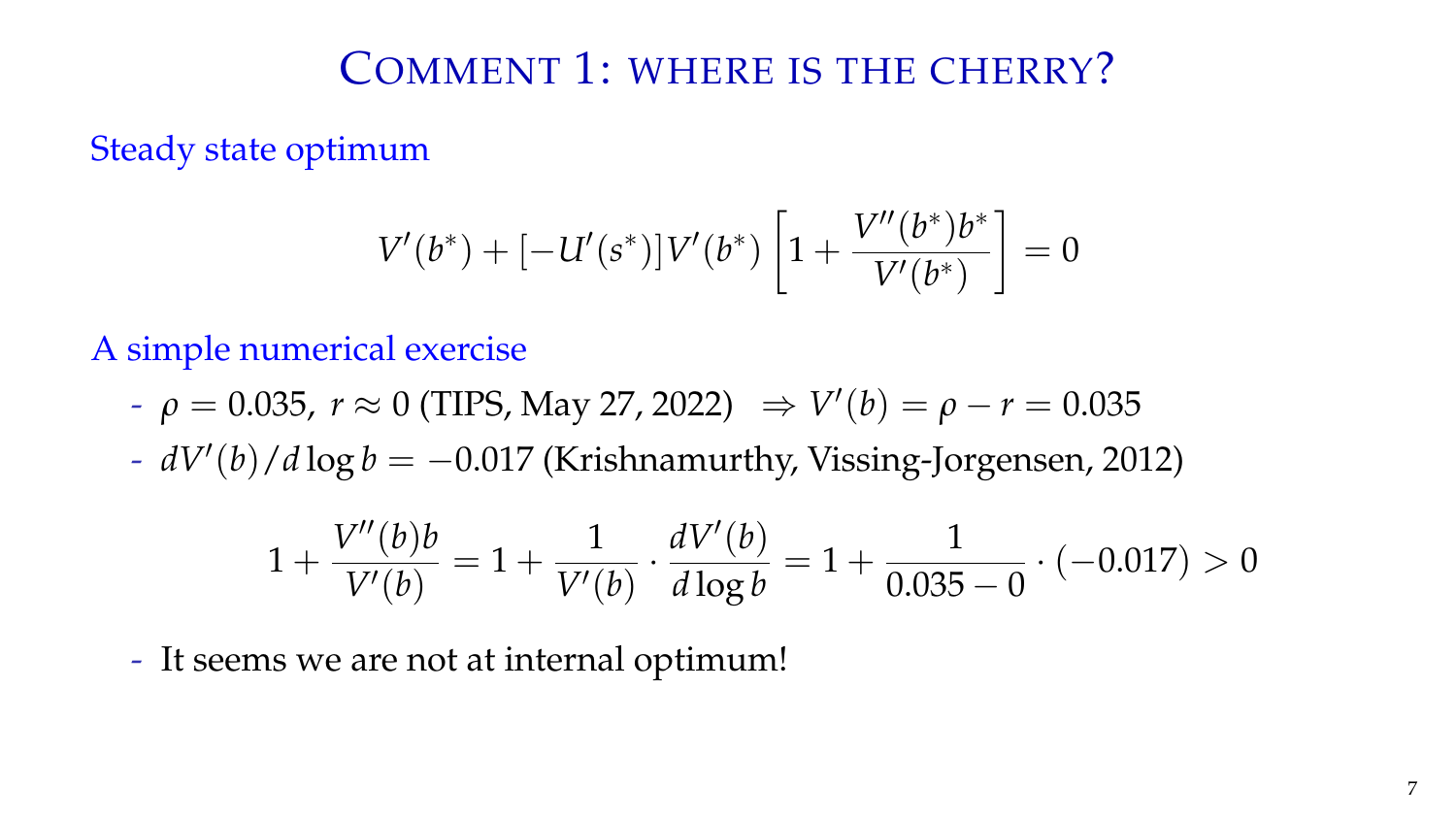Steady state optimum

$$
V'(b^*) + [-U'(s^*)]V'(b^*) \left[1 + \frac{V''(b^*)b^*}{V'(b^*)}\right] = 0
$$

A simple numerical exercise

- $-$  *ρ* = 0.035, *r* ≈ 0 (TIPS, May 27, 2022)  $\Rightarrow$   $V'(b) = ρ r = 0.035$
- *dV*′ (*b*)/*d* log *b* = −0.017 (Krishnamurthy, Vissing-Jorgensen, 2012)

$$
1 + \frac{V''(b)b}{V'(b)} = 1 + \frac{1}{V'(b)} \cdot \frac{dV'(b)}{d \log b} = 1 + \frac{1}{0.035 - 0} \cdot (-0.017) > 0
$$

- It seems we are not at internal optimum!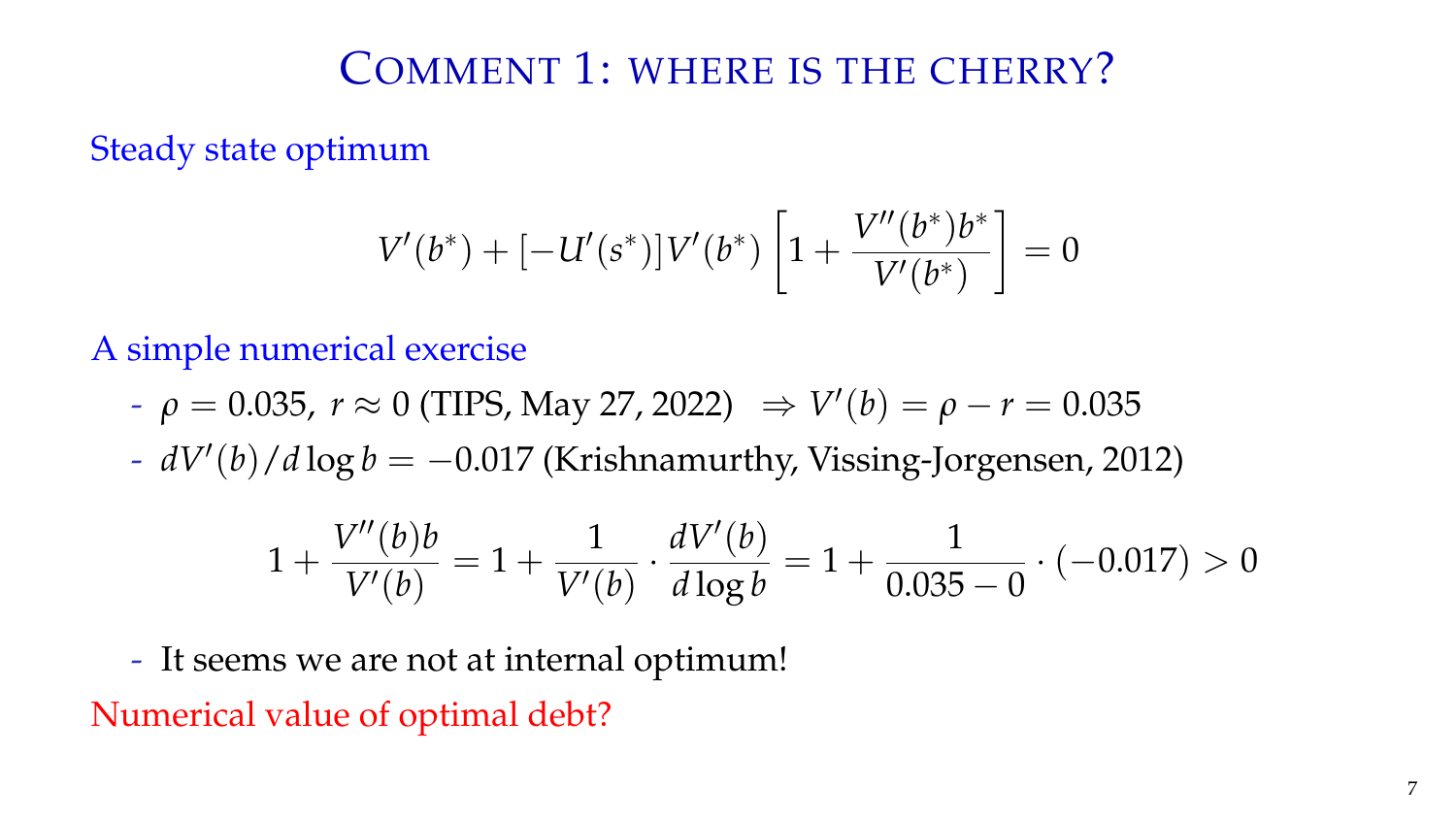Steady state optimum

$$
V'(b^*) + [-U'(s^*)]V'(b^*) \left[1 + \frac{V''(b^*)b^*}{V'(b^*)}\right] = 0
$$

A simple numerical exercise

- $-$  *ρ* = 0.035, *r* ≈ 0 (TIPS, May 27, 2022)  $\Rightarrow$   $V'(b) = ρ r = 0.035$
- *dV*′ (*b*)/*d* log *b* = −0.017 (Krishnamurthy, Vissing-Jorgensen, 2012)

$$
1 + \frac{V''(b)b}{V'(b)} = 1 + \frac{1}{V'(b)} \cdot \frac{dV'(b)}{d \log b} = 1 + \frac{1}{0.035 - 0} \cdot (-0.017) > 0
$$

- It seems we are not at internal optimum!

Numerical value of optimal debt?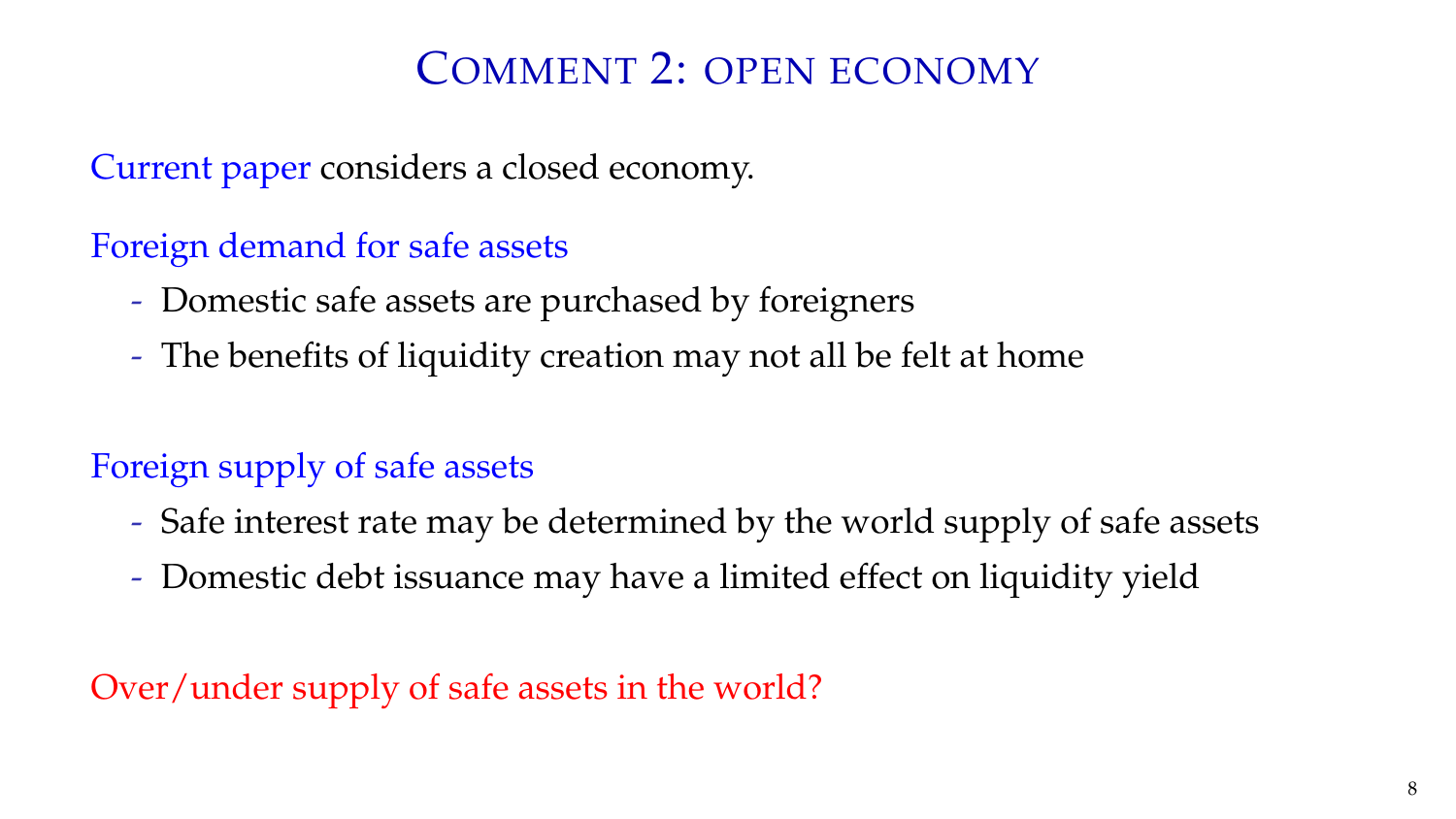### COMMENT 2: OPEN ECONOMY

Current paper considers a closed economy.

Foreign demand for safe assets

- Domestic safe assets are purchased by foreigners
- The benefits of liquidity creation may not all be felt at home

#### Foreign supply of safe assets

- Safe interest rate may be determined by the world supply of safe assets
- Domestic debt issuance may have a limited effect on liquidity yield

#### Over/under supply of safe assets in the world?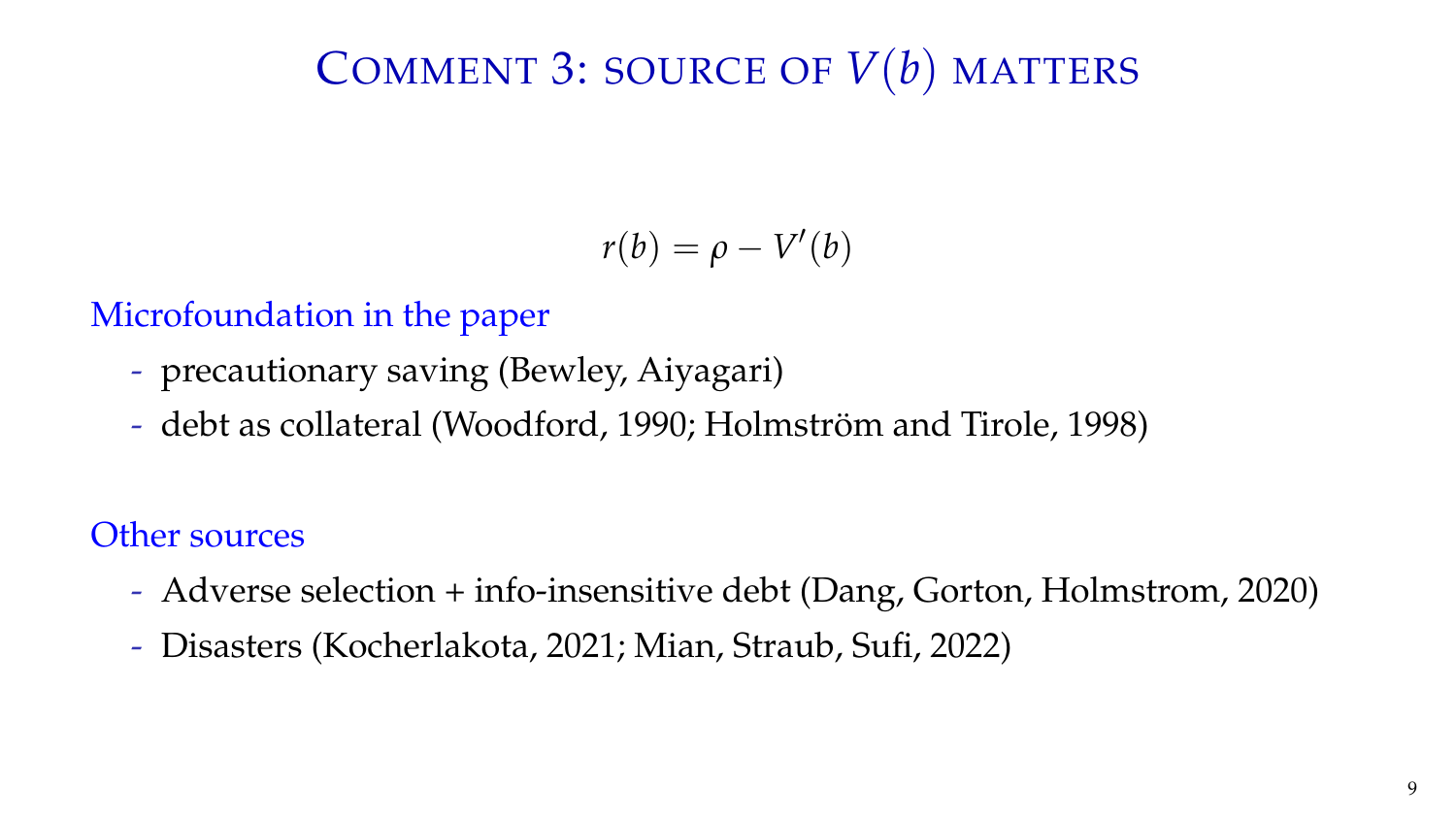# COMMENT 3: SOURCE OF *V*(*b*) MATTERS

$$
r(b) = \rho - V'(b)
$$

#### Microfoundation in the paper

- precautionary saving (Bewley, Aiyagari)
- debt as collateral (Woodford, 1990; Holmström and Tirole, 1998)

#### Other sources

- Adverse selection + info-insensitive debt (Dang, Gorton, Holmstrom, 2020)
- Disasters (Kocherlakota, 2021; Mian, Straub, Sufi, 2022)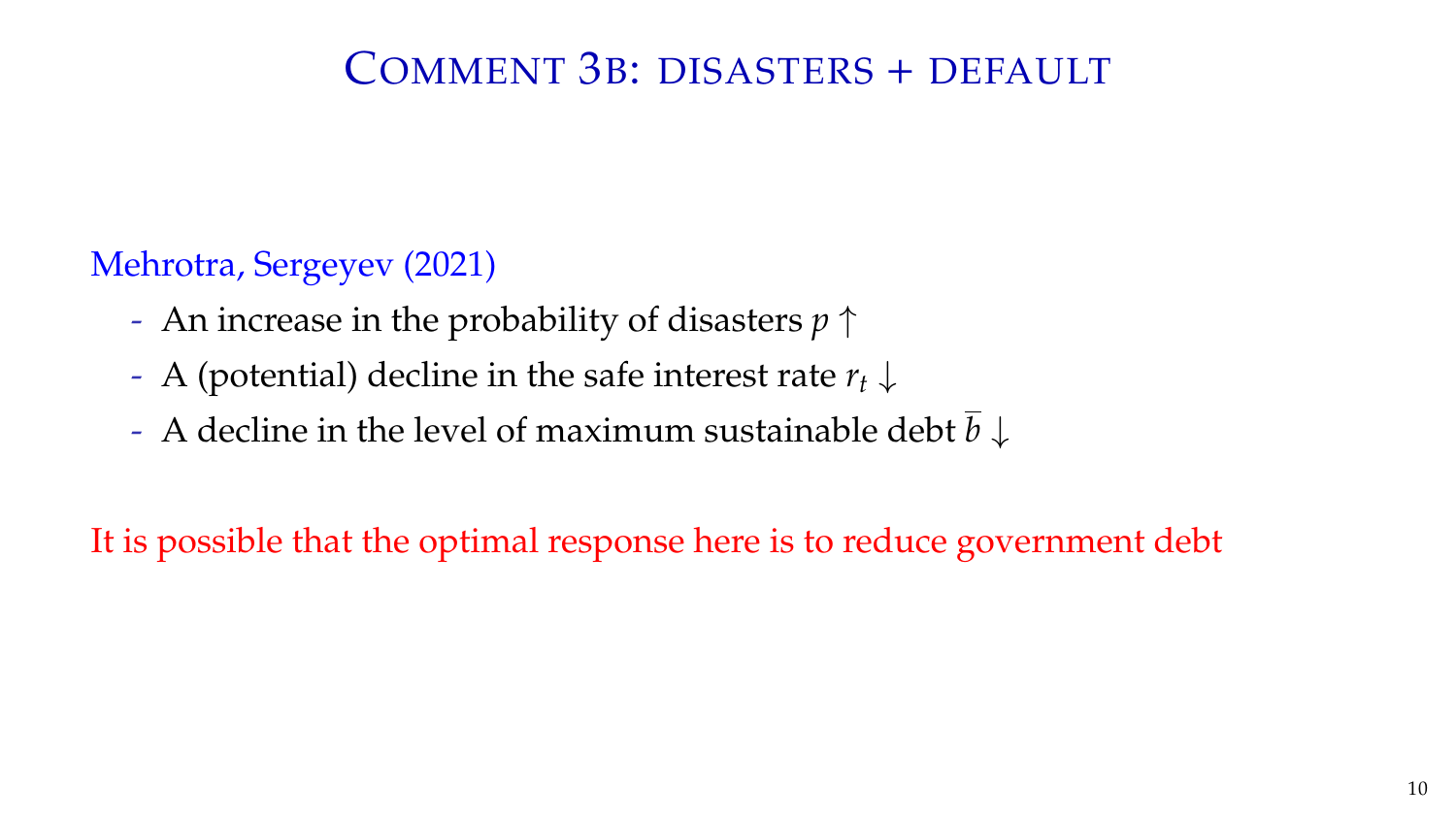### COMMENT 3B: DISASTERS + DEFAULT

#### Mehrotra, Sergeyev (2021)

- An increase in the probability of disasters *p* ↑
- A (potential) decline in the safe interest rate *r<sup>t</sup>* ↓
- A decline in the level of maximum sustainable debt  $\bar{b} \downarrow$

It is possible that the optimal response here is to reduce government debt